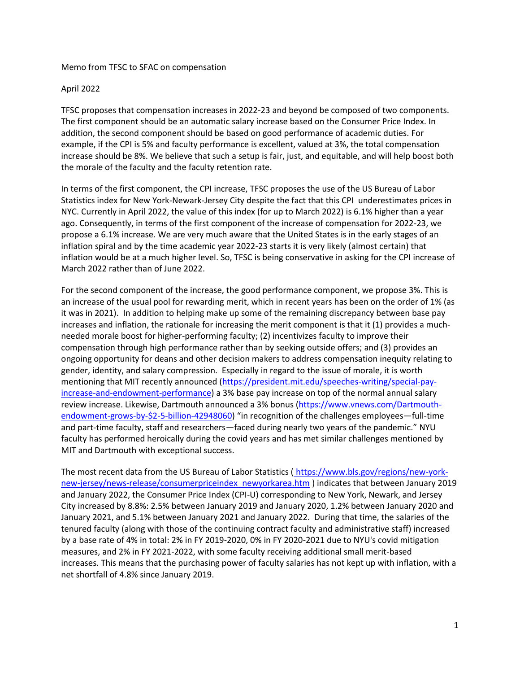## Memo from TFSC to SFAC on compensation

## April 2022

TFSC proposes that compensation increases in 2022-23 and beyond be composed of two components. The first component should be an automatic salary increase based on the Consumer Price Index. In addition, the second component should be based on good performance of academic duties. For example, if the CPI is 5% and faculty performance is excellent, valued at 3%, the total compensation increase should be 8%. We believe that such a setup is fair, just, and equitable, and will help boost both the morale of the faculty and the faculty retention rate.

In terms of the first component, the CPI increase, TFSC proposes the use of the US Bureau of Labor Statistics index for New York-Newark-Jersey City despite the fact that this CPI underestimates prices in NYC. Currently in April 2022, the value of this index (for up to March 2022) is 6.1% higher than a year ago. Consequently, in terms of the first component of the increase of compensation for 2022-23, we propose a 6.1% increase. We are very much aware that the United States is in the early stages of an inflation spiral and by the time academic year 2022-23 starts it is very likely (almost certain) that inflation would be at a much higher level. So, TFSC is being conservative in asking for the CPI increase of March 2022 rather than of June 2022.

For the second component of the increase, the good performance component, we propose 3%. This is an increase of the usual pool for rewarding merit, which in recent years has been on the order of 1% (as it was in 2021). In addition to helping make up some of the remaining discrepancy between base pay increases and inflation, the rationale for increasing the merit component is that it (1) provides a muchneeded morale boost for higher-performing faculty; (2) incentivizes faculty to improve their compensation through high performance rather than by seeking outside offers; and (3) provides an ongoing opportunity for deans and other decision makers to address compensation inequity relating to gender, identity, and salary compression. Especially in regard to the issue of morale, it is worth mentioning that MIT recently announced [\(https://president.mit.edu/speeches-writing/special-pay](https://president.mit.edu/speeches-writing/special-pay-increase-and-endowment-performance)[increase-and-endowment-performance\)](https://president.mit.edu/speeches-writing/special-pay-increase-and-endowment-performance) a 3% base pay increase on top of the normal annual salary review increase. Likewise, Dartmouth announced a 3% bonus [\(https://www.vnews.com/Dartmouth](https://www.vnews.com/Dartmouth-endowment-grows-by-$2-5-billion-42948060)[endowment-grows-by-\\$2-5-billion-42948060\)](https://www.vnews.com/Dartmouth-endowment-grows-by-$2-5-billion-42948060) "in recognition of the challenges employees—full-time and part-time faculty, staff and researchers—faced during nearly two years of the pandemic." NYU faculty has performed heroically during the covid years and has met similar challenges mentioned by MIT and Dartmouth with exceptional success.

The most recent data from the US Bureau of Labor Statistics ([https://www.bls.gov/regions/new-york](https://www.bls.gov/regions/new-york-new-jersey/news-release/consumerpriceindex_newyorkarea.htm)[new-jersey/news-release/consumerpriceindex\\_newyorkarea.htm](https://www.bls.gov/regions/new-york-new-jersey/news-release/consumerpriceindex_newyorkarea.htm) ) indicates that between January 2019 and January 2022, the Consumer Price Index (CPI-U) corresponding to New York, Newark, and Jersey City increased by 8.8%: 2.5% between January 2019 and January 2020, 1.2% between January 2020 and January 2021, and 5.1% between January 2021 and January 2022. During that time, the salaries of the tenured faculty (along with those of the continuing contract faculty and administrative staff) increased by a base rate of 4% in total: 2% in FY 2019-2020, 0% in FY 2020-2021 due to NYU's covid mitigation measures, and 2% in FY 2021-2022, with some faculty receiving additional small merit-based increases. This means that the purchasing power of faculty salaries has not kept up with inflation, with a net shortfall of 4.8% since January 2019.